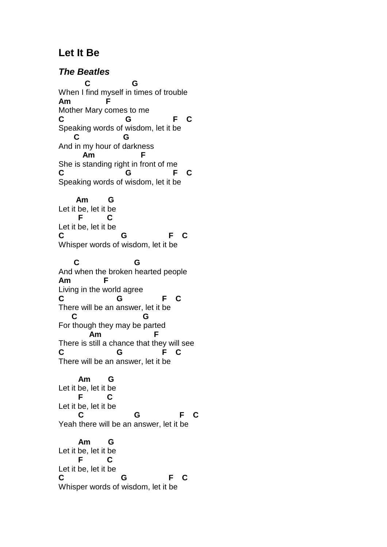## **Let It Be**

**The Beatles C G**  When I find myself in times of trouble **Am F** Mother Mary comes to me **C G F C** Speaking words of wisdom, let it be  **C G** And in my hour of darkness  **Am F** She is standing right in front of me **C G F C** Speaking words of wisdom, let it be  **Am G** Let it be, let it be  **F C** Let it be, let it be **C G F C** Whisper words of wisdom, let it be  **C G** And when the broken hearted people **Am F** Living in the world agree **C G F C** There will be an answer, let it be  **C G** For though they may be parted  **Am F** There is still a chance that they will see **C G F C** There will be an answer, let it be  **Am G**  Let it be, let it be  **F C** Let it be, let it be  **C G F C** Yeah there will be an answer, let it be  **Am G** Let it be, let it be  **F C** Let it be, let it be **C G F C**

Whisper words of wisdom, let it be